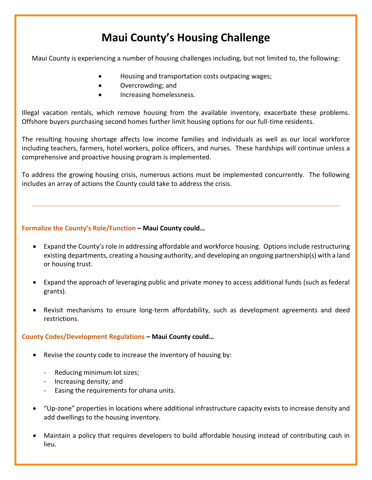# **Maui County's Housing Challenge**

Maui County is experiencing a number of housing challenges including, but not limited to, the following:

- Housing and transportation costs outpacing wages;
- Overcrowding; and
- **•** Increasing homelessness.

Illegal vacation rentals, which remove housing from the available inventory, exacerbate these problems. Offshore buyers purchasing second homes further limit housing options for our full-time residents.

The resulting housing shortage affects low income families and individuals as well as our local workforce including teachers, farmers, hotel workers, police officers, and nurses. These hardships will continue unless a comprehensive and proactive housing program is implemented.

To address the growing housing crisis, numerous actions must be implemented concurrently. The following includes an array of actions the County could take to address the crisis.

## **Formalize the County's Role/Function – Maui County could…**

- Expand the County's role in addressing affordable and workforce housing. Options include restructuring existing departments, creating a housing authority, and developing an ongoing partnership(s) with a land or housing trust.
- Expand the approach of leveraging public and private money to access additional funds (such as federal grants).
- Revisit mechanisms to ensure long-term affordability, such as development agreements and deed restrictions.

### **County Codes/Development Regulations – Maui County could…**

- Revise the county code to increase the inventory of housing by:
	- Reducing minimum lot sizes;
	- Increasing density; and
	- Easing the requirements for ohana units.
- "Up-zone" properties in locations where additional infrastructure capacity exists to increase density and add dwellings to the housing inventory.
- Maintain a policy that requires developers to build affordable housing instead of contributing cash in lieu.